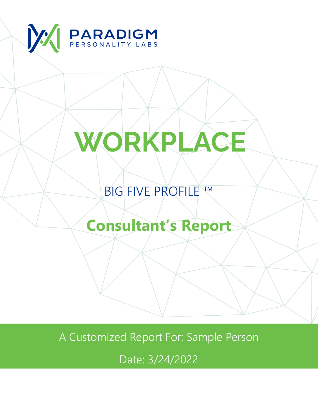

# WORKPLACE

### **BIG FIVE PROFILE ™**

## **Consultant's Report**

A Customized Report For: Sample Person

Date: 3/24/2022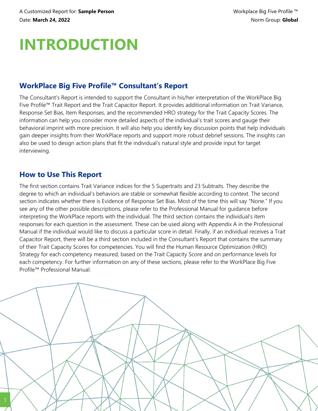### **INTRODUCTION**

### **WorkPlace Big Five Profile™ Consultant's Report**

The Consultant's Report is intended to support the Consultant in his/her interpretation of the WorkPlace Big Five Profile™ Trait Report and the Trait Capacitor Report. It provides additional information on Trait Variance, Response Set Bias, Item Responses, and the recommended HRO strategy for the Trait Capacity Scores. The information can help you consider more detailed aspects of the individual's trait scores and gauge their behavioral imprint with more precision. It will also help you identify key discussion points that help individuals gain deeper insights from their WorkPlace reports and support more robust debrief sessions. The insights can also be used to design action plans that fit the individual's natural style and provide input for target interviewing.

#### **How to Use This Report**

The first section contains Trait Variance indices for the 5 Supertraits and 23 Subtraits. They describe the degree to which an individual's behaviors are stable or somewhat flexible according to context. The second section indicates whether there is Evidence of Response Set Bias. Most of the time this will say "None." If you see any of the other possible descriptions, please refer to the Professional Manual for guidance before interpreting the WorkPlace reports with the individual. The third section contains the individual's item responses for each question in the assessment. These can be used along with Appendix A in the Professional Manual if the individual would like to discuss a particular score in detail. Finally, if an individual receives a Trait Capacitor Report, there will be a third section included in the Consultant's Report that contains the summary of their Trait Capacity Scores for competencies. You will find the Human Resource Optimization (HRO) Strategy for each competency measured, based on the Trait Capacity Score and on performance levels for each competency. For further information on any of these sections, please refer to the WorkPlace Big Five Profile™ Professional Manual.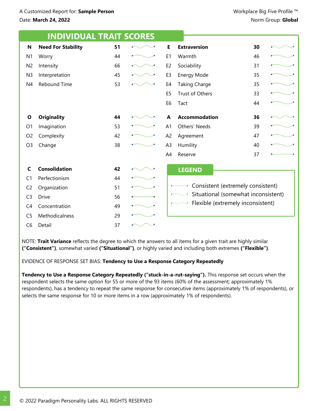|                | <b>INDIVIDUAL TRAIT SCORES</b> |    |                |                                                                          |    |  |  |  |
|----------------|--------------------------------|----|----------------|--------------------------------------------------------------------------|----|--|--|--|
| N              | <b>Need For Stability</b>      | 51 | E              | <b>Extraversion</b>                                                      | 30 |  |  |  |
| N <sub>1</sub> | Worry                          | 44 | E <sub>1</sub> | Warmth                                                                   | 46 |  |  |  |
| N <sub>2</sub> | Intensity                      | 66 | E <sub>2</sub> | Sociability                                                              | 31 |  |  |  |
| N <sub>3</sub> | Interpretation                 | 45 | E <sub>3</sub> | Energy Mode                                                              | 35 |  |  |  |
| N4             | <b>Rebound Time</b>            | 53 | E4             | <b>Taking Charge</b>                                                     | 35 |  |  |  |
|                |                                |    | E <sub>5</sub> | Trust of Others                                                          | 33 |  |  |  |
|                |                                |    | E <sub>6</sub> | Tact                                                                     | 44 |  |  |  |
| O              | <b>Originality</b>             | 44 | A              | <b>Accommodation</b>                                                     | 36 |  |  |  |
| O <sub>1</sub> | Imagination                    | 53 | A <sub>1</sub> | Others' Needs                                                            | 39 |  |  |  |
| O <sub>2</sub> | Complexity                     | 42 | A <sub>2</sub> | Agreement                                                                | 47 |  |  |  |
| O <sub>3</sub> | Change                         | 38 | A <sub>3</sub> | Humility                                                                 | 40 |  |  |  |
|                |                                |    | A4             | Reserve                                                                  | 37 |  |  |  |
| C              | <b>Consolidation</b>           | 42 |                | <b>LEGEND</b>                                                            |    |  |  |  |
| C1             | Perfectionism                  | 44 |                |                                                                          |    |  |  |  |
| C <sub>2</sub> | Organization                   | 51 |                | Consistent (extremely consistent)<br>Situational (somewhat inconsistent) |    |  |  |  |
| C <sub>3</sub> | <b>Drive</b>                   | 56 |                |                                                                          |    |  |  |  |
| C <sub>4</sub> | Concentration                  | 49 |                | Flexible (extremely inconsistent)                                        |    |  |  |  |
| C <sub>5</sub> | Methodicalness                 | 29 |                |                                                                          |    |  |  |  |
| C <sub>6</sub> | Detail                         | 37 |                |                                                                          |    |  |  |  |

NOTE: **Trait Variance** reflects the degree to which the answers to all items for a given trait are highly similar **("Consistent")**, somewhat varied **("Situational")**, or highly varied and including both extremes **("Flexible")**.

EVIDENCE OF RESPONSE SET BIAS: **Tendency to Use a Response Category Repeatedly**

**Tendency to Use a Response Category Repeatedly ("stuck-in-a-rut-saying").** This response set occurs when the respondent selects the same option for 55 or more of the 93 items (60% of the assessment; approximately 1% respondents), has a tendency to repeat the same response for consecutive items (approximately 1% of respondents), or selects the same response for 10 or more items in a row (approximately 1% of respondents).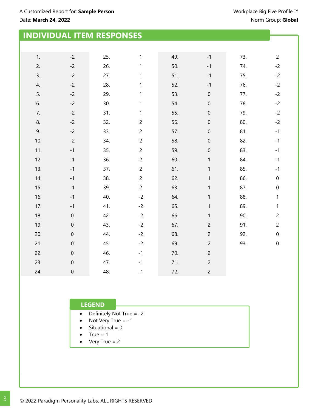|     | <b>INDIVIDUAL ITEM RESPONSES</b> |     |                |     |                     |     |                  |
|-----|----------------------------------|-----|----------------|-----|---------------------|-----|------------------|
|     |                                  |     |                |     |                     |     |                  |
|     |                                  |     |                |     |                     |     |                  |
| 1.  | $-2$                             | 25. | $\mathbf{1}$   | 49. | $^{\rm -1}$         | 73. | $\overline{c}$   |
| 2.  | $-2$                             | 26. | 1              | 50. | $-1$                | 74. | $-2$             |
| 3.  | $-2$                             | 27. | 1              | 51. | $-1$                | 75. | $-2$             |
| 4.  | $-2$                             | 28. | 1              | 52. | $-1$                | 76. | $-2$             |
| 5.  | $-2$                             | 29. | 1              | 53. | $\mathsf{O}\xspace$ | 77. | $-2$             |
| 6.  | $-2$                             | 30. | 1              | 54. | $\boldsymbol{0}$    | 78. | $-2$             |
| 7.  | $-2$                             | 31. | 1              | 55. | $\mathbf 0$         | 79. | $-2$             |
| 8.  | $-2$                             | 32. | $\overline{c}$ | 56. | $\boldsymbol{0}$    | 80. | $-2$             |
| 9.  | $-2$                             | 33. | $\overline{c}$ | 57. | $\boldsymbol{0}$    | 81. | $-1$             |
| 10. | $-2$                             | 34. | $\overline{c}$ | 58. | $\boldsymbol{0}$    | 82. | $-1$             |
| 11. | $-1$                             | 35. | $\overline{c}$ | 59. | $\boldsymbol{0}$    | 83. | $-1$             |
| 12. | $-1$                             | 36. | $\overline{c}$ | 60. | $\mathbf{1}$        | 84. | $-1$             |
| 13. | $-1$                             | 37. | $\overline{c}$ | 61. | $\mathbf{1}$        | 85. | $-1$             |
| 14. | $-1$                             | 38. | $\overline{c}$ | 62. | $\mathbf{1}$        | 86. | $\pmb{0}$        |
| 15. | $-1$                             | 39. | $\overline{c}$ | 63. | $\mathbf{1}$        | 87. | $\boldsymbol{0}$ |
| 16. | $-1$                             | 40. | $-2$           | 64. | $\mathbf{1}$        | 88. | 1                |
| 17. | $-1$                             | 41. | $-2$           | 65. | 1                   | 89. | 1                |
| 18. | $\boldsymbol{0}$                 | 42. | $-2$           | 66. | $\mathbf{1}$        | 90. | $\overline{c}$   |
| 19. | $\boldsymbol{0}$                 | 43. | $-2$           | 67. | $\overline{c}$      | 91. | $\overline{c}$   |
| 20. | $\boldsymbol{0}$                 | 44. | $-2$           | 68. | $\overline{c}$      | 92. | $\pmb{0}$        |
| 21. | $\boldsymbol{0}$                 | 45. | $-2$           | 69. | $\overline{c}$      | 93. | $\pmb{0}$        |
| 22. | $\boldsymbol{0}$                 | 46. | $-1$           | 70. | $\overline{c}$      |     |                  |
| 23. | $\boldsymbol{0}$                 | 47. | $-1$           | 71. | $\overline{c}$      |     |                  |
| 24. | $\boldsymbol{0}$                 | 48. | $-1$           | 72. | $\overline{c}$      |     |                  |

#### **LEGEND**

- · Definitely Not True = -2
- · Not Very True = -1
- $\bullet$  Situational = 0
- $\bullet$  True = 1
- Very True =  $2$